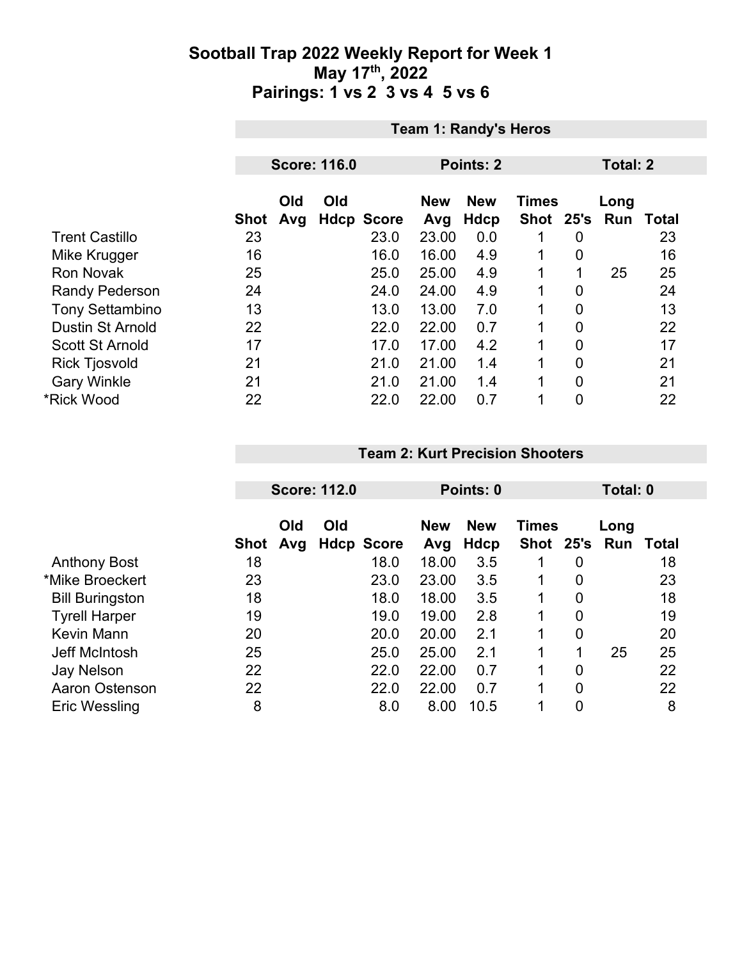|                         |             | <b>Team 1: Randy's Heros</b> |     |                   |            |             |              |                |          |                  |  |
|-------------------------|-------------|------------------------------|-----|-------------------|------------|-------------|--------------|----------------|----------|------------------|--|
|                         |             | <b>Score: 116.0</b>          |     |                   |            | Points: 2   |              |                | Total: 2 |                  |  |
|                         |             |                              |     |                   |            |             |              |                |          |                  |  |
|                         |             | Old                          | Old |                   | <b>New</b> | <b>New</b>  | <b>Times</b> |                | Long     |                  |  |
|                         | <b>Shot</b> | Avg                          |     | <b>Hdcp Score</b> | Avg        | <b>Hdcp</b> | Shot 25's    |                |          | <b>Run Total</b> |  |
| <b>Trent Castillo</b>   | 23          |                              |     | 23.0              | 23.00      | 0.0         |              | 0              |          | 23               |  |
| Mike Krugger            | 16          |                              |     | 16.0              | 16.00      | 4.9         |              | 0              |          | 16               |  |
| <b>Ron Novak</b>        | 25          |                              |     | 25.0              | 25.00      | 4.9         | 1            | 1              | 25       | 25               |  |
| <b>Randy Pederson</b>   | 24          |                              |     | 24.0              | 24.00      | 4.9         | 1            | 0              |          | 24               |  |
| <b>Tony Settambino</b>  | 13          |                              |     | 13.0              | 13.00      | 7.0         |              | $\overline{0}$ |          | 13               |  |
| <b>Dustin St Arnold</b> | 22          |                              |     | 22.0              | 22.00      | 0.7         | 1            | $\overline{0}$ |          | 22               |  |
| <b>Scott St Arnold</b>  | 17          |                              |     | 17.0              | 17.00      | 4.2         | 1            | 0              |          | 17               |  |
| <b>Rick Tjosvold</b>    | 21          |                              |     | 21.0              | 21.00      | 1.4         | 1            | $\overline{0}$ |          | 21               |  |
| <b>Gary Winkle</b>      | 21          |                              |     | 21.0              | 21.00      | 1.4         | 1            | $\overline{0}$ |          | 21               |  |
| *Rick Wood              | 22          |                              |     | 22.0              | 22.00      | 0.7         | 1            | 0              |          | 22               |  |

#### **Team 2: Kurt Precision Shooters**

|                        |             | <b>Score: 112.0</b> |     |                   | Points: 0         |                    |                           |                | Total: 0    |       |
|------------------------|-------------|---------------------|-----|-------------------|-------------------|--------------------|---------------------------|----------------|-------------|-------|
|                        | <b>Shot</b> | Old<br>Avg          | Old | <b>Hdcp Score</b> | <b>New</b><br>Avg | <b>New</b><br>Hdcp | <b>Times</b><br>Shot 25's |                | Long<br>Run | Total |
| <b>Anthony Bost</b>    | 18          |                     |     | 18.0              | 18.00             | 3.5                |                           | 0              |             | 18    |
| *Mike Broeckert        | 23          |                     |     | 23.0              | 23.00             | 3.5                |                           | 0              |             | 23    |
| <b>Bill Buringston</b> | 18          |                     |     | 18.0              | 18.00             | 3.5                |                           | 0              |             | 18    |
| <b>Tyrell Harper</b>   | 19          |                     |     | 19.0              | 19.00             | 2.8                | 1                         | 0              |             | 19    |
| Kevin Mann             | 20          |                     |     | 20.0              | 20.00             | 2.1                | 1                         | $\overline{0}$ |             | 20    |
| Jeff McIntosh          | 25          |                     |     | 25.0              | 25.00             | 2.1                | 1                         | 1              | 25          | 25    |
| <b>Jay Nelson</b>      | 22          |                     |     | 22.0              | 22.00             | 0.7                |                           | 0              |             | 22    |
| Aaron Ostenson         | 22          |                     |     | 22.0              | 22.00             | 0.7                | 1                         | 0              |             | 22    |
| <b>Eric Wessling</b>   | 8           |                     |     | 8.0               | 8.00              | 10.5               |                           | 0              |             | 8     |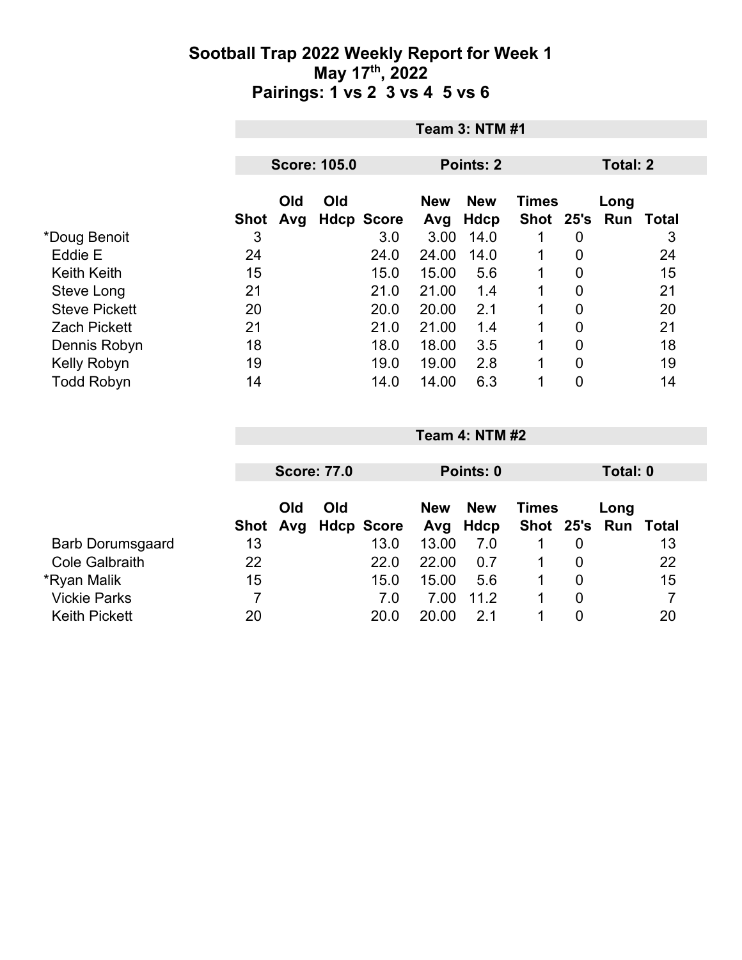|                      |      | <b>Team 3: NTM #1</b> |                     |                   |                   |                    |              |                |                             |    |
|----------------------|------|-----------------------|---------------------|-------------------|-------------------|--------------------|--------------|----------------|-----------------------------|----|
|                      |      |                       | <b>Score: 105.0</b> |                   | <b>Points: 2</b>  |                    |              |                | <b>Total: 2</b>             |    |
|                      | Shot | <b>Old</b><br>Avg     | Old                 | <b>Hdcp Score</b> | <b>New</b><br>Avg | <b>New</b><br>Hdcp | <b>Times</b> |                | Long<br>Shot 25's Run Total |    |
| *Doug Benoit         | 3    |                       |                     | 3.0               | 3.00              | 14.0               |              | $\overline{0}$ |                             | 3  |
| Eddie E              | 24   |                       |                     | 24.0              | 24.00             | 14.0               | 1            | 0              |                             | 24 |
| <b>Keith Keith</b>   | 15   |                       |                     | 15.0              | 15.00             | 5.6                | 1            | $\overline{0}$ |                             | 15 |
| Steve Long           | 21   |                       |                     | 21.0              | 21.00             | 1.4                |              | 0              |                             | 21 |
| <b>Steve Pickett</b> | 20   |                       |                     | 20.0              | 20.00             | 2.1                | $\mathbf 1$  | 0              |                             | 20 |
| <b>Zach Pickett</b>  | 21   |                       |                     | 21.0              | 21.00             | 1.4                | $\mathbf 1$  | 0              |                             | 21 |
| Dennis Robyn         | 18   |                       |                     | 18.0              | 18.00             | 3.5                |              | 0              |                             | 18 |
| Kelly Robyn          | 19   |                       |                     | 19.0              | 19.00             | 2.8                | $\mathbf 1$  | 0              |                             | 19 |
| <b>Todd Robyn</b>    | 14   |                       |                     | 14.0              | 14.00             | 6.3                |              | 0              |                             | 14 |

|                         |    | <b>Team 4: NTM #2</b> |  |                     |            |            |              |                |                     |                |  |  |
|-------------------------|----|-----------------------|--|---------------------|------------|------------|--------------|----------------|---------------------|----------------|--|--|
|                         |    |                       |  |                     |            |            |              |                |                     |                |  |  |
|                         |    | <b>Score: 77.0</b>    |  |                     | Points: 0  |            |              |                | Total: 0            |                |  |  |
|                         |    | Old<br>Old            |  |                     | <b>New</b> | <b>New</b> | <b>Times</b> |                | Long                |                |  |  |
|                         |    |                       |  | Shot Avg Hdcp Score | Avg        | Hdcp       |              |                | Shot 25's Run Total |                |  |  |
| <b>Barb Dorumsgaard</b> | 13 |                       |  | 13.0                | 13.00      | 7.0        |              | $\overline{0}$ |                     | 13             |  |  |
| <b>Cole Galbraith</b>   | 22 |                       |  | 22.0                | 22.00      | 0.7        |              | $\overline{0}$ |                     | 22             |  |  |
| *Ryan Malik             | 15 |                       |  | 15.0                | 15.00      | 5.6        |              | 0              |                     | 15             |  |  |
| <b>Vickie Parks</b>     | 7  |                       |  | 7.0                 | 7.00       | 11.2       |              | $\overline{0}$ |                     | $\overline{7}$ |  |  |
| <b>Keith Pickett</b>    | 20 |                       |  | 20.0                | 20.00      | 21         |              | $\overline{0}$ |                     | 20             |  |  |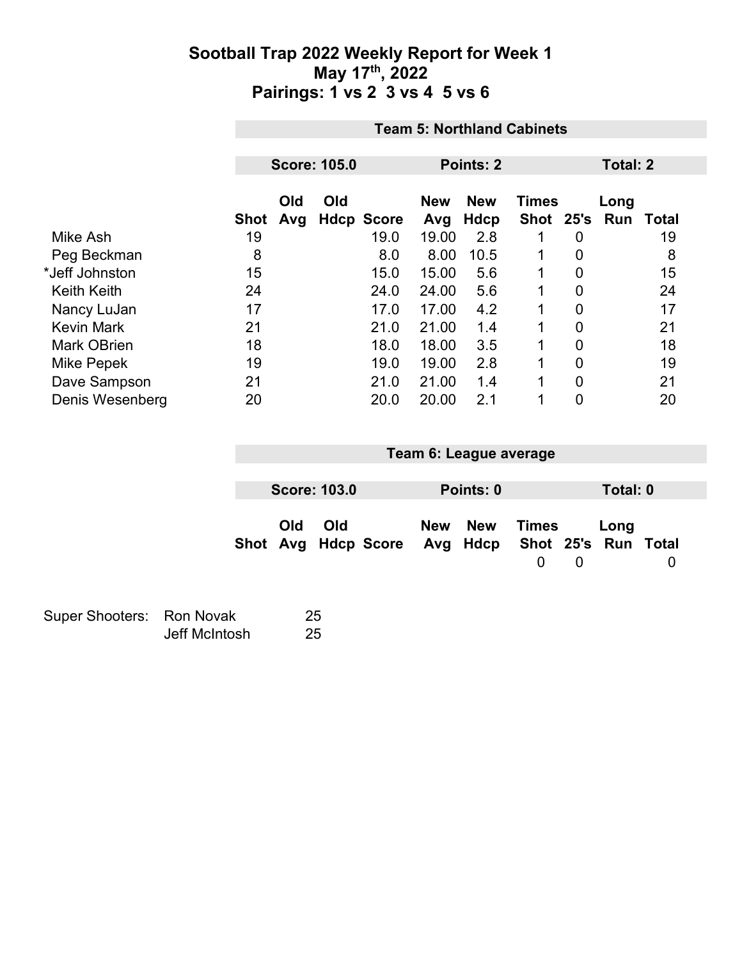|                    |      | <b>Team 5: Northland Cabinets</b> |     |                   |                   |                    |              |                |                             |    |  |
|--------------------|------|-----------------------------------|-----|-------------------|-------------------|--------------------|--------------|----------------|-----------------------------|----|--|
|                    |      | <b>Score: 105.0</b>               |     |                   |                   | Points: 2          |              |                | <b>Total: 2</b>             |    |  |
|                    | Shot | Old<br>Avg                        | Old | <b>Hdcp Score</b> | <b>New</b><br>Avg | <b>New</b><br>Hdcp | <b>Times</b> |                | Long<br>Shot 25's Run Total |    |  |
| Mike Ash           | 19   |                                   |     | 19.0              | 19.00             | 2.8                | 1            | $\mathbf 0$    |                             | 19 |  |
| Peg Beckman        | 8    |                                   |     | 8.0               | 8.00              | 10.5               | 1            | $\overline{0}$ |                             | 8  |  |
| *Jeff Johnston     | 15   |                                   |     | 15.0              | 15.00             | 5.6                | 1            | $\mathbf 0$    |                             | 15 |  |
| <b>Keith Keith</b> | 24   |                                   |     | 24.0              | 24.00             | 5.6                | $\mathbf{1}$ | $\mathbf 0$    |                             | 24 |  |
| Nancy LuJan        | 17   |                                   |     | 17.0              | 17.00             | 4.2                | 1            | $\mathbf 0$    |                             | 17 |  |
| <b>Kevin Mark</b>  | 21   |                                   |     | 21.0              | 21.00             | 1.4                | $\mathbf{1}$ | $\overline{0}$ |                             | 21 |  |
| <b>Mark OBrien</b> | 18   |                                   |     | 18.0              | 18.00             | 3.5                | $\mathbf 1$  | $\mathbf 0$    |                             | 18 |  |
| Mike Pepek         | 19   |                                   |     | 19.0              | 19.00             | 2.8                | 1            | $\mathbf 0$    |                             | 19 |  |
| Dave Sampson       | 21   |                                   |     | 21.0              | 21.00             | 1.4                | $\mathbf{1}$ | $\overline{0}$ |                             | 21 |  |
| Denis Wesenberg    | 20   |                                   |     | 20.0              | 20.00             | 2.1                | 1            | 0              |                             | 20 |  |

| Team 6: League average |     |                                                  |            |            |                   |   |          |   |  |
|------------------------|-----|--------------------------------------------------|------------|------------|-------------------|---|----------|---|--|
|                        |     |                                                  |            |            |                   |   |          |   |  |
| <b>Score: 103.0</b>    |     |                                                  |            | Points: 0  |                   |   | Total: 0 |   |  |
| Old                    | Old | Shot Avg Hdcp Score Avg Hdcp Shot 25's Run Total | <b>New</b> | <b>New</b> | <b>Times</b><br>0 | 0 | Long     | 0 |  |

| Super Shooters: Ron Novak |               | 25 |
|---------------------------|---------------|----|
|                           | Jeff McIntosh | 25 |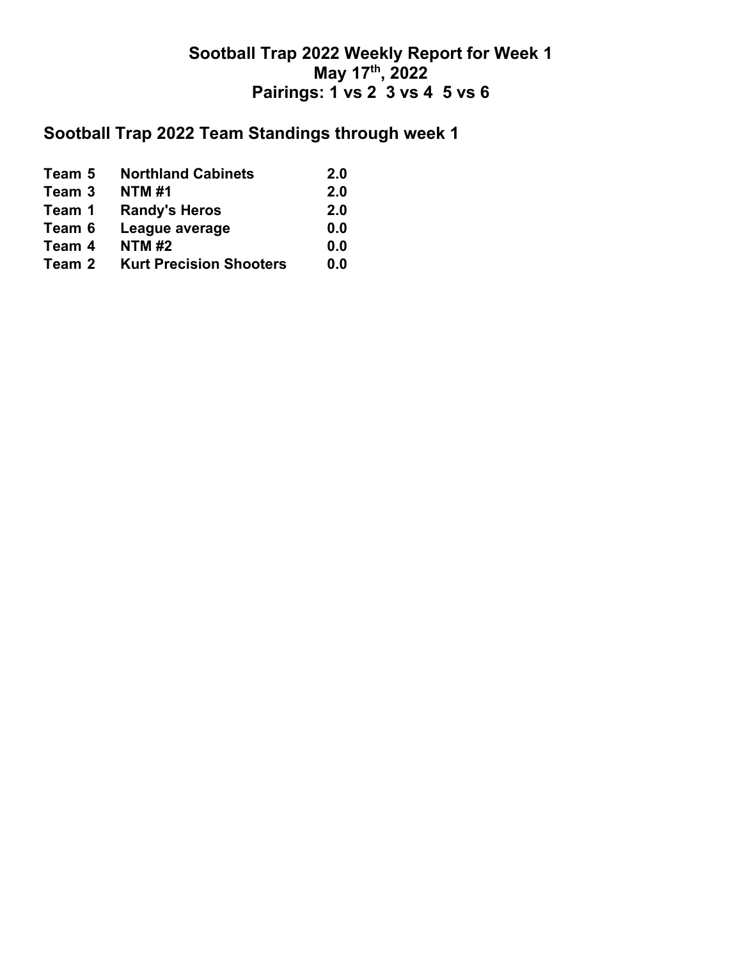## **Sootball Trap 2022 Team Standings through week 1**

| Team 5 | <b>Northland Cabinets</b>      | 2.0 |
|--------|--------------------------------|-----|
| Team 3 | <b>NTM#1</b>                   | 2.0 |
| Team 1 | <b>Randy's Heros</b>           | 2.0 |
| Team 6 | League average                 | 0.0 |
| Team 4 | <b>NTM#2</b>                   | 0.0 |
| Team 2 | <b>Kurt Precision Shooters</b> | 0.0 |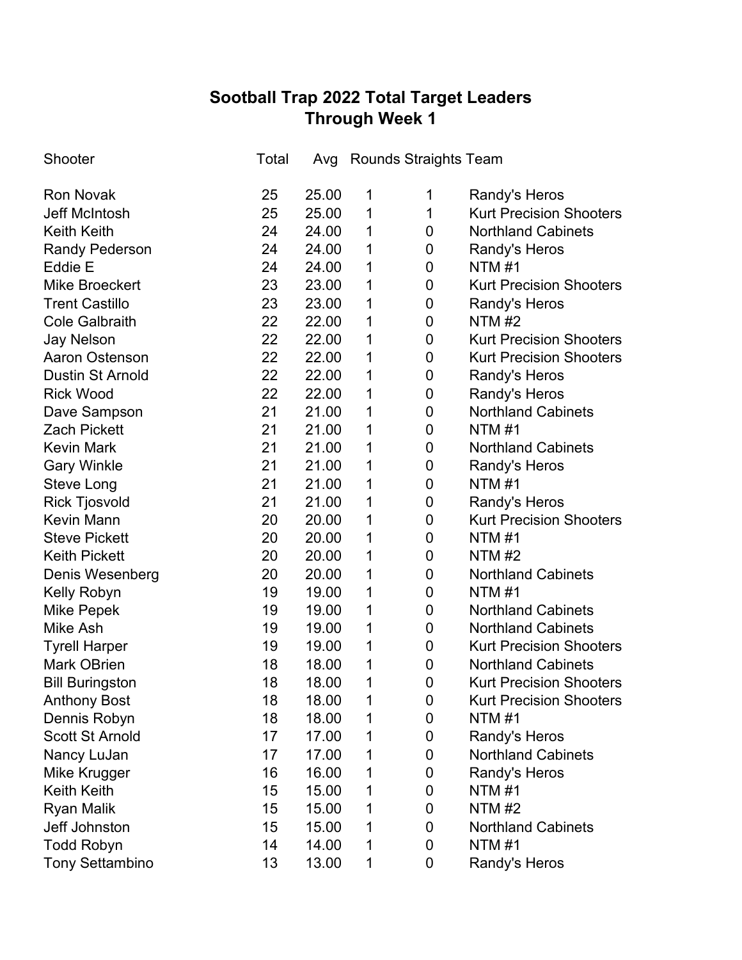# **Sootball Trap 2022 Total Target Leaders Through Week 1**

| Shooter                 | Total |       |   | Avg Rounds Straights Team |                                |
|-------------------------|-------|-------|---|---------------------------|--------------------------------|
| <b>Ron Novak</b>        | 25    | 25.00 | 1 | 1                         | Randy's Heros                  |
| <b>Jeff McIntosh</b>    | 25    | 25.00 | 1 | 1                         | <b>Kurt Precision Shooters</b> |
| <b>Keith Keith</b>      | 24    | 24.00 | 1 | 0                         | <b>Northland Cabinets</b>      |
| <b>Randy Pederson</b>   | 24    | 24.00 | 1 | 0                         | Randy's Heros                  |
| Eddie E                 | 24    | 24.00 | 1 | 0                         | NTM#1                          |
| <b>Mike Broeckert</b>   | 23    | 23.00 | 1 | 0                         | <b>Kurt Precision Shooters</b> |
| <b>Trent Castillo</b>   | 23    | 23.00 | 1 | 0                         | Randy's Heros                  |
| <b>Cole Galbraith</b>   | 22    | 22.00 | 1 | 0                         | <b>NTM #2</b>                  |
| <b>Jay Nelson</b>       | 22    | 22.00 | 1 | 0                         | <b>Kurt Precision Shooters</b> |
| <b>Aaron Ostenson</b>   | 22    | 22.00 | 1 | 0                         | <b>Kurt Precision Shooters</b> |
| <b>Dustin St Arnold</b> | 22    | 22.00 | 1 | 0                         | Randy's Heros                  |
| <b>Rick Wood</b>        | 22    | 22.00 | 1 | 0                         | Randy's Heros                  |
| Dave Sampson            | 21    | 21.00 | 1 | 0                         | <b>Northland Cabinets</b>      |
| <b>Zach Pickett</b>     | 21    | 21.00 | 1 | 0                         | <b>NTM#1</b>                   |
| <b>Kevin Mark</b>       | 21    | 21.00 | 1 | 0                         | <b>Northland Cabinets</b>      |
| <b>Gary Winkle</b>      | 21    | 21.00 | 1 | 0                         | Randy's Heros                  |
| <b>Steve Long</b>       | 21    | 21.00 | 1 | 0                         | NTM #1                         |
| <b>Rick Tjosvold</b>    | 21    | 21.00 | 1 | 0                         | Randy's Heros                  |
| <b>Kevin Mann</b>       | 20    | 20.00 | 1 | 0                         | <b>Kurt Precision Shooters</b> |
| <b>Steve Pickett</b>    | 20    | 20.00 | 1 | 0                         | <b>NTM#1</b>                   |
| <b>Keith Pickett</b>    | 20    | 20.00 | 1 | 0                         | <b>NTM#2</b>                   |
| Denis Wesenberg         | 20    | 20.00 | 1 | 0                         | <b>Northland Cabinets</b>      |
| Kelly Robyn             | 19    | 19.00 | 1 | 0                         | NTM #1                         |
| <b>Mike Pepek</b>       | 19    | 19.00 | 1 | 0                         | <b>Northland Cabinets</b>      |
| <b>Mike Ash</b>         | 19    | 19.00 | 1 | 0                         | <b>Northland Cabinets</b>      |
| <b>Tyrell Harper</b>    | 19    | 19.00 | 1 | 0                         | <b>Kurt Precision Shooters</b> |
| <b>Mark OBrien</b>      | 18    | 18.00 | 1 | 0                         | <b>Northland Cabinets</b>      |
| <b>Bill Buringston</b>  | 18    | 18.00 | 1 | 0                         | <b>Kurt Precision Shooters</b> |
| <b>Anthony Bost</b>     | 18    | 18.00 | 1 | 0                         | <b>Kurt Precision Shooters</b> |
| Dennis Robyn            | 18    | 18.00 | 1 | 0                         | <b>NTM#1</b>                   |
| <b>Scott St Arnold</b>  | 17    | 17.00 | 1 | 0                         | Randy's Heros                  |
| Nancy LuJan             | 17    | 17.00 | 1 | 0                         | <b>Northland Cabinets</b>      |
| Mike Krugger            | 16    | 16.00 | 1 | 0                         | Randy's Heros                  |
| <b>Keith Keith</b>      | 15    | 15.00 | 1 | 0                         | <b>NTM#1</b>                   |
| <b>Ryan Malik</b>       | 15    | 15.00 | 1 | 0                         | <b>NTM #2</b>                  |
| Jeff Johnston           | 15    | 15.00 | 1 | 0                         | <b>Northland Cabinets</b>      |
| <b>Todd Robyn</b>       | 14    | 14.00 | 1 | 0                         | <b>NTM#1</b>                   |
| <b>Tony Settambino</b>  | 13    | 13.00 | 1 | 0                         | Randy's Heros                  |